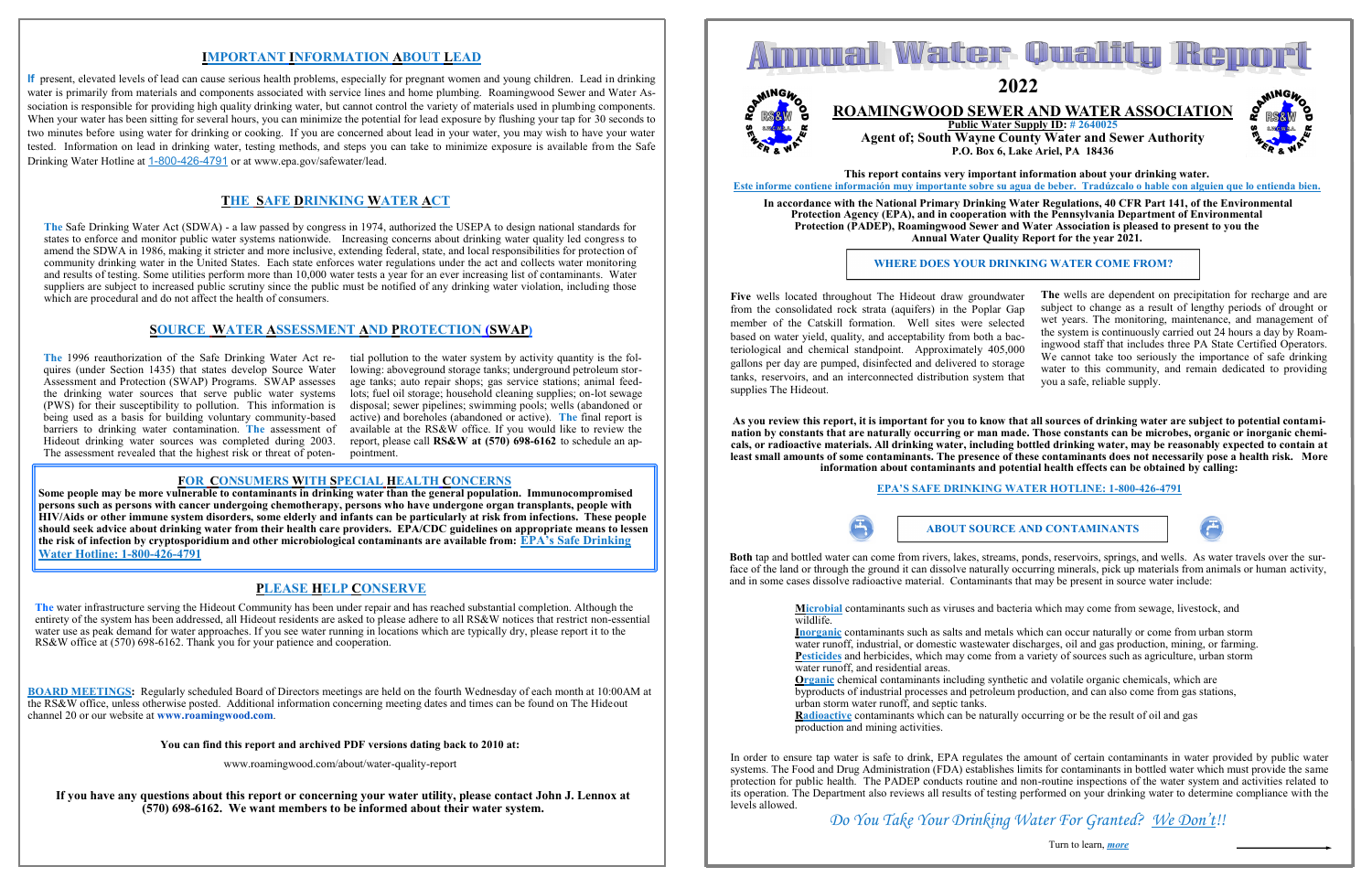**If you have any questions about this report or concerning your water utility, please contact John J. Lennox at (570) 698-6162. We want members to be informed about their water system.**



**You can find this report and archived PDF versions dating back to 2010 at:**

www.roamingwood.com/about/water-quality-report

**BOARD MEETINGS:** Regularly scheduled Board of Directors meetings are held on the fourth Wednesday of each month at 10:00AM at the RS&W office, unless otherwise posted. Additional information concerning meeting dates and times can be found on The Hideout channel 20 or our website at **www.roamingwood.com**.

**The** water infrastructure serving the Hideout Community has been under repair and has reached substantial completion. Although the entirety of the system has been addressed, all Hideout residents are asked to please adhere to all RS&W notices that restrict non-essential water use as peak demand for water approaches. If you see water running in locations which are typically dry, please report it to the RS&W office at (570) 698-6162. Thank you for your patience and cooperation.

lowing: aboveground storage tanks; underground petroleum storage tanks; auto repair shops; gas service stations; animal feedlots; fuel oil storage; household cleaning supplies; on-lot sewage disposal; sewer pipelines; swimming pools; wells (abandoned or active) and boreholes (abandoned or active). **The** final report is available at the RS&W office. If you would like to review the report, please call **RS&W at (570) 698-6162** to schedule an appointment.

## **PLEASE HELP CONSERVE**

**The** Safe Drinking Water Act (SDWA) - a law passed by congress in 1974, authorized the USEPA to design national standards for states to enforce and monitor public water systems nationwide. Increasing concerns about drinking water quality led congress to amend the SDWA in 1986, making it stricter and more inclusive, extending federal, state, and local responsibilities for protection of community drinking water in the United States. Each state enforces water regulations under the act and collects water monitoring and results of testing. Some utilities perform more than 10,000 water tests a year for an ever increasing list of contaminants. Water suppliers are subject to increased public scrutiny since the public must be notified of any drinking water violation, including those which are procedural and do not affect the health of consumers.

**The** 1996 reauthorization of the Safe Drinking Water Act re-tial pollution to the water system by activity quantity is the folquires (under Section 1435) that states develop Source Water Assessment and Protection (SWAP) Programs. SWAP assesses the drinking water sources that serve public water systems (PWS) for their susceptibility to pollution. This information is being used as a basis for building voluntary community-based barriers to drinking water contamination. **The** assessment of Hideout drinking water sources was completed during 2003. The assessment revealed that the highest risk or threat of poten-

### **SOURCE WATER ASSESSMENT AND PROTECTION (SWAP)**

### **THE SAFE DRINKING WATER ACT**

## **IMPORTANT INFORMATION ABOUT LEAD**

**If** present, elevated levels of lead can cause serious health problems, especially for pregnant women and young children. Lead in drinking water is primarily from materials and components associated with service lines and home plumbing. Roamingwood Sewer and Water Association is responsible for providing high quality drinking water, but cannot control the variety of materials used in plumbing components. When your water has been sitting for several hours, you can minimize the potential for lead exposure by flushing your tap for 30 seconds to two minutes before using water for drinking or cooking. If you are concerned about lead in your water, you may wish to have your water tested. Information on lead in drinking water, testing methods, and steps you can take to minimize exposure is available from the Safe Drinking Water Hotline at 1-800-426-4791 or at www.epa.gov/safewater/lead.

> **Organic** chemical contaminants including synthetic and volatile organic chemicals, which are byproducts of industrial processes and petroleum production, and can also come from gas stations, urban storm water runoff, and septic tanks. **Radioactive** contaminants which can be naturally occurring or be the result of oil and gas production and mining activities.

### **FOR CONSUMERS WITH SPECIAL HEALTH CONCERNS**

**Some people may be more vulnerable to contaminants in drinking water than the general population. Immunocompromised persons such as persons with cancer undergoing chemotherapy, persons who have undergone organ transplants, people with HIV/Aids or other immune system disorders, some elderly and infants can be particularly at risk from infections. These people should seek advice about drinking water from their health care providers. EPA/CDC guidelines on appropriate means to lessen the risk of infection by cryptosporidium and other microbiological contaminants are available from: EPA's Safe Drinking Water Hotline: 1-800-426-4791**

**This report contains very important information about your drinking water. Este informe contiene información muy importante sobre su agua de beber. Tradúzcalo o hable con alguien que lo entienda bien.**

**In accordance with the National Primary Drinking Water Regulations, 40 CFR Part 141, of the Environmental Protection Agency (EPA), and in cooperation with the Pennsylvania Department of Environmental Protection (PADEP), Roamingwood Sewer and Water Association is pleased to present to you the Annual Water Quality Report for the year 2021.**

**Five** wells located throughout The Hideout draw groundwater from the consolidated rock strata (aquifers) in the Poplar Gap member of the Catskill formation. Well sites were selected based on water yield, quality, and acceptability from both a bacteriological and chemical standpoint. Approximately 405,000 gallons per day are pumped, disinfected and delivered to storage tanks, reservoirs, and an interconnected distribution system that supplies The Hideout. **The** wells are dependent on precipitation for recharge and are subject to change as a result of lengthy periods of drought or wet years. The monitoring, maintenance, and management of the system is continuously carried out 24 hours a day by Roamingwood staff that includes three PA State Certified Operators. We cannot take too seriously the importance of safe drinking water to this community, and remain dedicated to providing you a safe, reliable supply.

**Both** tap and bottled water can come from rivers, lakes, streams, ponds, reservoirs, springs, and wells. As water travels over the surface of the land or through the ground it can dissolve naturally occurring minerals, pick up materials from animals or human activity, and in some cases dissolve radioactive material. Contaminants that may be present in source water include:

> **Microbial** contaminants such as viruses and bacteria which may come from sewage, livestock, and wildlife.

**Inorganic** contaminants such as salts and metals which can occur naturally or come from urban storm water runoff, industrial, or domestic wastewater discharges, oil and gas production, mining, or farming. **Pesticides** and herbicides, which may come from a variety of sources such as agriculture, urban storm water runoff, and residential areas.

In order to ensure tap water is safe to drink, EPA regulates the amount of certain contaminants in water provided by public water systems. The Food and Drug Administration (FDA) establishes limits for contaminants in bottled water which must provide the same protection for public health. The PADEP conducts routine and non-routine inspections of the water system and activities related to its operation. The Department also reviews all results of testing performed on your drinking water to determine compliance with the levels allowed.

Turn to learn, *more*

#### **WHERE DOES YOUR DRINKING WATER COME FROM?**

**As you review this report, it is important for you to know that all sources of drinking water are subject to potential contamination by constants that are naturally occurring or man made. Those constants can be microbes, organic or inorganic chemicals, or radioactive materials. All drinking water, including bottled drinking water, may be reasonably expected to contain at least small amounts of some contaminants. The presence of these contaminants does not necessarily pose a health risk. More information about contaminants and potential health effects can be obtained by calling:**



### **EPA'S SAFE DRINKING WATER HOTLINE: 1-800-426-4791**

# **ROAMINGWOOD SEWER AND WATER ASSOCIATION**

**Public Water Supply ID: # 2640025 Agent of; South Wayne County Water and Sewer Authority P.O. Box 6, Lake Ariel, PA 18436**



*Do You Take Your Drinking Water For Granted? We Don't!!*

**2022**

#### **ABOUT SOURCE AND CONTAMINANTS**